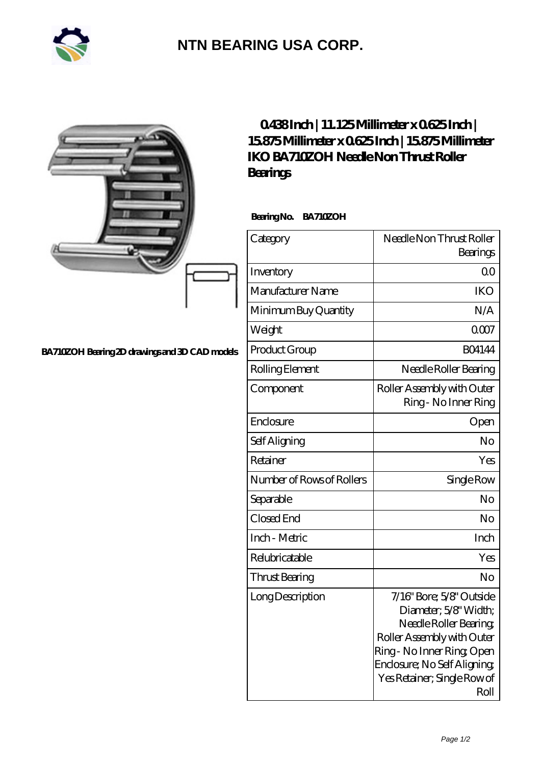

## **[NTN BEARING USA CORP.](https://m.2rw-antriebselemente.de)**

|                                                | 0438Inch   11.125Millimeter x 0625Inch  <br>15875Millimeterx0625Inch   15875Millimeter<br><b>IKO BA 710ZOH Needle Non Thrust Roller</b><br><b>Bearings</b> |                                                                                                                                                                                                           |
|------------------------------------------------|------------------------------------------------------------------------------------------------------------------------------------------------------------|-----------------------------------------------------------------------------------------------------------------------------------------------------------------------------------------------------------|
|                                                | BearingNo.<br><b>BA710ZOH</b>                                                                                                                              |                                                                                                                                                                                                           |
|                                                | Category                                                                                                                                                   | Needle Non Thrust Roller<br>Bearings                                                                                                                                                                      |
|                                                | Inventory                                                                                                                                                  | 0 <sub>0</sub>                                                                                                                                                                                            |
|                                                | Manufacturer Name                                                                                                                                          | <b>IKO</b>                                                                                                                                                                                                |
|                                                | Minimum Buy Quantity                                                                                                                                       | N/A                                                                                                                                                                                                       |
|                                                | Weight                                                                                                                                                     | 0007                                                                                                                                                                                                      |
| BA710ZOH Bearing 2D drawings and 3D CAD models | Product Group                                                                                                                                              | <b>BO4144</b>                                                                                                                                                                                             |
|                                                | Rolling Element                                                                                                                                            | Needle Roller Bearing                                                                                                                                                                                     |
|                                                | Component                                                                                                                                                  | Roller Assembly with Outer<br>Ring - No Inner Ring                                                                                                                                                        |
|                                                | Enclosure                                                                                                                                                  | Open                                                                                                                                                                                                      |
|                                                | Self Aligning                                                                                                                                              | No                                                                                                                                                                                                        |
|                                                | Retainer                                                                                                                                                   | Yes                                                                                                                                                                                                       |
|                                                | Number of Rows of Rollers                                                                                                                                  | Single Row                                                                                                                                                                                                |
|                                                | Separable                                                                                                                                                  | No                                                                                                                                                                                                        |
|                                                | Closed End                                                                                                                                                 | N <sub>o</sub>                                                                                                                                                                                            |
|                                                | Inch - Metric                                                                                                                                              | Inch                                                                                                                                                                                                      |
|                                                | Relubricatable                                                                                                                                             | Yes                                                                                                                                                                                                       |
|                                                | Thrust Bearing                                                                                                                                             | N <sub>o</sub>                                                                                                                                                                                            |
|                                                | Long Description                                                                                                                                           | 7/16" Bore; 5/8" Outside<br>Diameter; 5/8' Width;<br>Needle Roller Bearing<br>Roller Assembly with Outer<br>Ring-No Inner Ring Open<br>Enclosure; No Self Aligning<br>Yes Retainer; Single Row of<br>Roll |